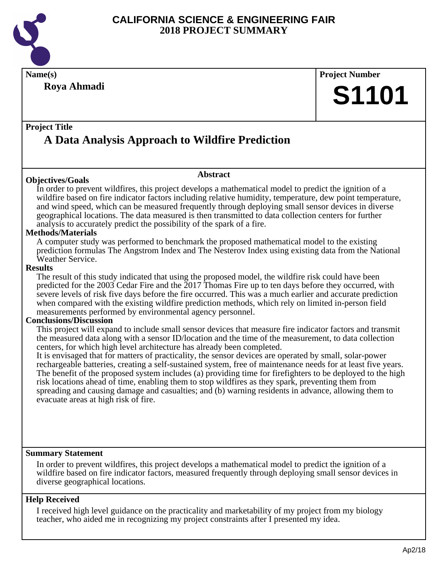

# **Name(s) Project Number Project Title Abstract Summary Statement Help Received Roya Ahmadi A Data Analysis Approach to Wildfire Prediction S1101 Objectives/Goals** In order to prevent wildfires, this project develops a mathematical model to predict the ignition of a wildfire based on fire indicator factors including relative humidity, temperature, dew point temperature, and wind speed, which can be measured frequently through deploying small sensor devices in diverse geographical locations. The data measured is then transmitted to data collection centers for further analysis to accurately predict the possibility of the spark of a fire. **Methods/Materials** A computer study was performed to benchmark the proposed mathematical model to the existing prediction formulas The Angstrom Index and The Nesterov Index using existing data from the National Weather Service. **Results** The result of this study indicated that using the proposed model, the wildfire risk could have been predicted for the 2003 Cedar Fire and the 2017 Thomas Fire up to ten days before they occurred, with severe levels of risk five days before the fire occurred. This was a much earlier and accurate prediction when compared with the existing wildfire prediction methods, which rely on limited in-person field measurements performed by environmental agency personnel. **Conclusions/Discussion** This project will expand to include small sensor devices that measure fire indicator factors and transmit the measured data along with a sensor ID/location and the time of the measurement, to data collection centers, for which high level architecture has already been completed. It is envisaged that for matters of practicality, the sensor devices are operated by small, solar-power rechargeable batteries, creating a self-sustained system, free of maintenance needs for at least five years. The benefit of the proposed system includes (a) providing time for firefighters to be deployed to the high risk locations ahead of time, enabling them to stop wildfires as they spark, preventing them from spreading and causing damage and casualties; and (b) warning residents in advance, allowing them to evacuate areas at high risk of fire. In order to prevent wildfires, this project develops a mathematical model to predict the ignition of a wildfire based on fire indicator factors, measured frequently through deploying small sensor devices in diverse geographical locations.

I received high level guidance on the practicality and marketability of my project from my biology teacher, who aided me in recognizing my project constraints after I presented my idea.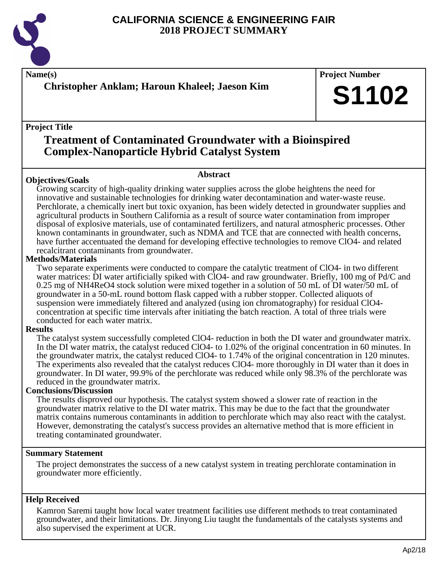

**Name(s) Project Number**

**Christopher Anklam; Haroun Khaleel; Jaeson Kim**

## **Project Title**

# **Treatment of Contaminated Groundwater with a Bioinspired Complex-Nanoparticle Hybrid Catalyst System**

## **Objectives/Goals**

**Abstract**

Growing scarcity of high-quality drinking water supplies across the globe heightens the need for innovative and sustainable technologies for drinking water decontamination and water-waste reuse. Perchlorate, a chemically inert but toxic oxyanion, has been widely detected in groundwater supplies and agricultural products in Southern California as a result of source water contamination from improper disposal of explosive materials, use of contaminated fertilizers, and natural atmospheric processes. Other known contaminants in groundwater, such as NDMA and TCE that are connected with health concerns, have further accentuated the demand for developing effective technologies to remove ClO4- and related recalcitrant contaminants from groundwater.

## **Methods/Materials**

Two separate experiments were conducted to compare the catalytic treatment of ClO4- in two different water matrices: DI water artificially spiked with ClO4- and raw groundwater. Briefly, 100 mg of Pd/C and 0.25 mg of NH4ReO4 stock solution were mixed together in a solution of 50 mL of DI water/50 mL of groundwater in a 50-mL round bottom flask capped with a rubber stopper. Collected aliquots of suspension were immediately filtered and analyzed (using ion chromatography) for residual ClO4 concentration at specific time intervals after initiating the batch reaction. A total of three trials were conducted for each water matrix.

#### **Results**

The catalyst system successfully completed ClO4- reduction in both the DI water and groundwater matrix. In the DI water matrix, the catalyst reduced ClO4- to 1.02% of the original concentration in 60 minutes. In the groundwater matrix, the catalyst reduced ClO4- to 1.74% of the original concentration in 120 minutes. The experiments also revealed that the catalyst reduces ClO4- more thoroughly in DI water than it does in groundwater. In DI water, 99.9% of the perchlorate was reduced while only 98.3% of the perchlorate was reduced in the groundwater matrix.

#### **Conclusions/Discussion**

The results disproved our hypothesis. The catalyst system showed a slower rate of reaction in the groundwater matrix relative to the DI water matrix. This may be due to the fact that the groundwater matrix contains numerous contaminants in addition to perchlorate which may also react with the catalyst. However, demonstrating the catalyst's success provides an alternative method that is more efficient in treating contaminated groundwater.

#### **Summary Statement**

The project demonstrates the success of a new catalyst system in treating perchlorate contamination in groundwater more efficiently.

#### **Help Received**

Kamron Saremi taught how local water treatment facilities use different methods to treat contaminated groundwater, and their limitations. Dr. Jinyong Liu taught the fundamentals of the catalysts systems and also supervised the experiment at UCR.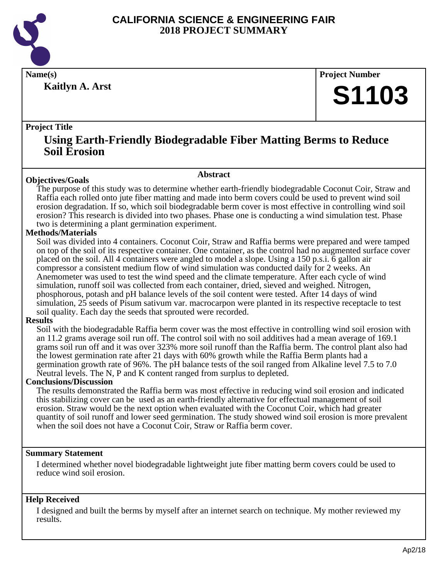

**Kaitlyn A. Arst**

**Name(s) Project Number**

# **S1103**

# **Project Title**

# **Using Earth-Friendly Biodegradable Fiber Matting Berms to Reduce Soil Erosion**

#### **Abstract**

**Objectives/Goals** The purpose of this study was to determine whether earth-friendly biodegradable Coconut Coir, Straw and Raffia each rolled onto jute fiber matting and made into berm covers could be used to prevent wind soil erosion degradation. If so, which soil biodegradable berm cover is most effective in controlling wind soil erosion? This research is divided into two phases. Phase one is conducting a wind simulation test. Phase two is determining a plant germination experiment.

# **Methods/Materials**

Soil was divided into 4 containers. Coconut Coir, Straw and Raffia berms were prepared and were tamped on top of the soil of its respective container. One container, as the control had no augmented surface cover placed on the soil. All 4 containers were angled to model a slope. Using a 150 p.s.i. 6 gallon air compressor a consistent medium flow of wind simulation was conducted daily for 2 weeks. An Anemometer was used to test the wind speed and the climate temperature. After each cycle of wind simulation, runoff soil was collected from each container, dried, sieved and weighed. Nitrogen, phosphorous, potash and pH balance levels of the soil content were tested. After 14 days of wind simulation, 25 seeds of Pisum sativum var. macrocarpon were planted in its respective receptacle to test soil quality. Each day the seeds that sprouted were recorded.

#### **Results**

Soil with the biodegradable Raffia berm cover was the most effective in controlling wind soil erosion with an 11.2 grams average soil run off. The control soil with no soil additives had a mean average of 169.1 grams soil run off and it was over 323% more soil runoff than the Raffia berm. The control plant also had the lowest germination rate after 21 days with 60% growth while the Raffia Berm plants had a germination growth rate of 96%. The pH balance tests of the soil ranged from Alkaline level 7.5 to 7.0 Neutral levels. The N, P and K content ranged from surplus to depleted.

#### **Conclusions/Discussion**

The results demonstrated the Raffia berm was most effective in reducing wind soil erosion and indicated this stabilizing cover can be used as an earth-friendly alternative for effectual management of soil erosion. Straw would be the next option when evaluated with the Coconut Coir, which had greater quantity of soil runoff and lower seed germination. The study showed wind soil erosion is more prevalent when the soil does not have a Coconut Coir, Straw or Raffia berm cover.

#### **Summary Statement**

I determined whether novel biodegradable lightweight jute fiber matting berm covers could be used to reduce wind soil erosion.

# **Help Received**

I designed and built the berms by myself after an internet search on technique. My mother reviewed my results.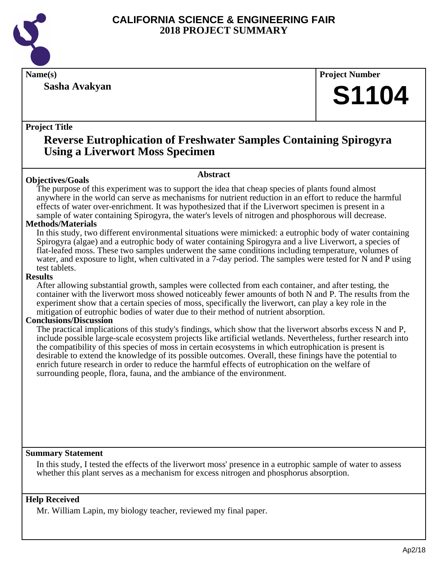

**Sasha Avakyan**

**Name(s) Project Number**

# **S1104**

# **Project Title**

# **Reverse Eutrophication of Freshwater Samples Containing Spirogyra Using a Liverwort Moss Specimen**

# **Objectives/Goals**

**Abstract**

The purpose of this experiment was to support the idea that cheap species of plants found almost anywhere in the world can serve as mechanisms for nutrient reduction in an effort to reduce the harmful effects of water over-enrichment. It was hypothesized that if the Liverwort specimen is present in a sample of water containing Spirogyra, the water's levels of nitrogen and phosphorous will decrease.

# **Methods/Materials**

In this study, two different environmental situations were mimicked: a eutrophic body of water containing Spirogyra (algae) and a eutrophic body of water containing Spirogyra and a live Liverwort, a species of flat-leafed moss. These two samples underwent the same conditions including temperature, volumes of water, and exposure to light, when cultivated in a 7-day period. The samples were tested for N and P using test tablets.

## **Results**

After allowing substantial growth, samples were collected from each container, and after testing, the container with the liverwort moss showed noticeably fewer amounts of both N and P. The results from the experiment show that a certain species of moss, specifically the liverwort, can play a key role in the mitigation of eutrophic bodies of water due to their method of nutrient absorption.

# **Conclusions/Discussion**

The practical implications of this study's findings, which show that the liverwort absorbs excess N and P, include possible large-scale ecosystem projects like artificial wetlands. Nevertheless, further research into the compatibility of this species of moss in certain ecosystems in which eutrophication is present is desirable to extend the knowledge of its possible outcomes. Overall, these finings have the potential to enrich future research in order to reduce the harmful effects of eutrophication on the welfare of surrounding people, flora, fauna, and the ambiance of the environment.

# **Summary Statement**

In this study, I tested the effects of the liverwort moss' presence in a eutrophic sample of water to assess whether this plant serves as a mechanism for excess nitrogen and phosphorus absorption.

# **Help Received**

Mr. William Lapin, my biology teacher, reviewed my final paper.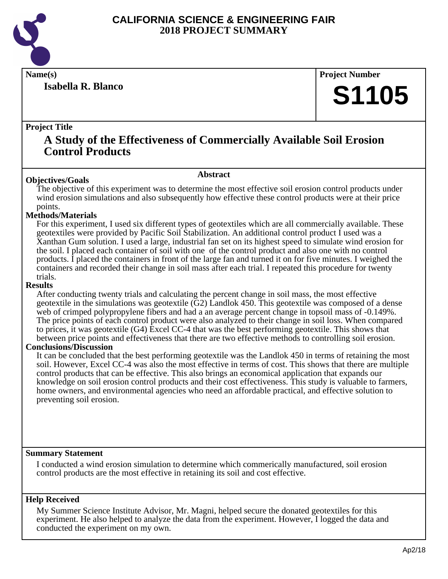

**Isabella R. Blanco**

**Name(s) Project Number**

# **S1105**

## **Project Title**

# **A Study of the Effectiveness of Commercially Available Soil Erosion Control Products**

#### **Abstract**

The objective of this experiment was to determine the most effective soil erosion control products under wind erosion simulations and also subsequently how effective these control products were at their price points.

#### **Methods/Materials**

**Objectives/Goals**

For this experiment, I used six different types of geotextiles which are all commercially available. These geotextiles were provided by Pacific Soil Stabilization. An additional control product I used was a Xanthan Gum solution. I used a large, industrial fan set on its highest speed to simulate wind erosion for the soil. I placed each container of soil with one of the control product and also one with no control products. I placed the containers in front of the large fan and turned it on for five minutes. I weighed the containers and recorded their change in soil mass after each trial. I repeated this procedure for twenty trials.

#### **Results**

After conducting twenty trials and calculating the percent change in soil mass, the most effective geotextile in the simulations was geotextile (G2) Landlok 450. This geotextile was composed of a dense web of crimped polypropylene fibers and had a an average percent change in topsoil mass of  $-0.149\%$ . The price points of each control product were also analyzed to their change in soil loss. When compared to prices, it was geotextile (G4) Excel CC-4 that was the best performing geotextile. This shows that between price points and effectiveness that there are two effective methods to controlling soil erosion.

#### **Conclusions/Discussion**

It can be concluded that the best performing geotextile was the Landlok 450 in terms of retaining the most soil. However, Excel CC-4 was also the most effective in terms of cost. This shows that there are multiple control products that can be effective. This also brings an economical application that expands our knowledge on soil erosion control products and their cost effectiveness. This study is valuable to farmers, home owners, and environmental agencies who need an affordable practical, and effective solution to preventing soil erosion.

#### **Summary Statement**

I conducted a wind erosion simulation to determine which commerically manufactured, soil erosion control products are the most effective in retaining its soil and cost effective.

#### **Help Received**

My Summer Science Institute Advisor, Mr. Magni, helped secure the donated geotextiles for this experiment. He also helped to analyze the data from the experiment. However, I logged the data and conducted the experiment on my own.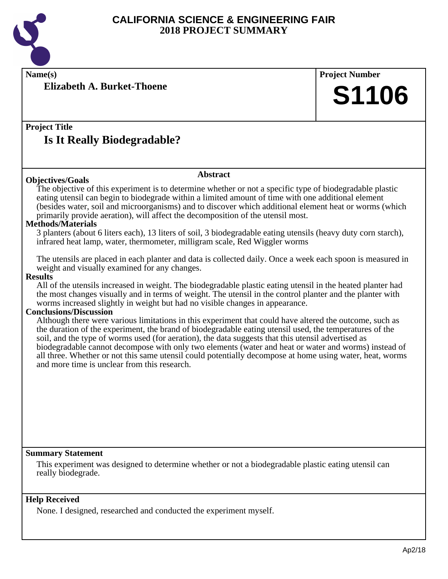

**Name(s) Project Number**

**Elizabeth A. Burket-Thoene**

**Project Title Is It Really Biodegradable?**

# **Abstract**

**Objectives/Goals** The objective of this experiment is to determine whether or not a specific type of biodegradable plastic eating utensil can begin to biodegrade within a limited amount of time with one additional element (besides water, soil and microorganisms) and to discover which additional element heat or worms (which primarily provide aeration), will affect the decomposition of the utensil most.

#### **Methods/Materials**

3 planters (about 6 liters each), 13 liters of soil, 3 biodegradable eating utensils (heavy duty corn starch), infrared heat lamp, water, thermometer, milligram scale, Red Wiggler worms

The utensils are placed in each planter and data is collected daily. Once a week each spoon is measured in weight and visually examined for any changes.

#### **Results**

All of the utensils increased in weight. The biodegradable plastic eating utensil in the heated planter had the most changes visually and in terms of weight. The utensil in the control planter and the planter with worms increased slightly in weight but had no visible changes in appearance.

#### **Conclusions/Discussion**

Although there were various limitations in this experiment that could have altered the outcome, such as the duration of the experiment, the brand of biodegradable eating utensil used, the temperatures of the soil, and the type of worms used (for aeration), the data suggests that this utensil advertised as biodegradable cannot decompose with only two elements (water and heat or water and worms) instead of all three. Whether or not this same utensil could potentially decompose at home using water, heat, worms and more time is unclear from this research.

#### **Summary Statement**

This experiment was designed to determine whether or not a biodegradable plastic eating utensil can really biodegrade.

#### **Help Received**

None. I designed, researched and conducted the experiment myself.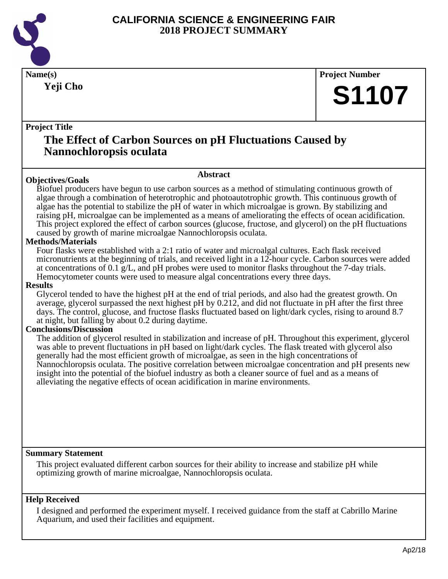

**Yeji Cho**

**Name(s) Project Number**

# **S1107**

# **Project Title**

# **The Effect of Carbon Sources on pH Fluctuations Caused by Nannochloropsis oculata**

# **Objectives/Goals**

**Abstract**

Biofuel producers have begun to use carbon sources as a method of stimulating continuous growth of algae through a combination of heterotrophic and photoautotrophic growth. This continuous growth of algae has the potential to stabilize the pH of water in which microalgae is grown. By stabilizing and raising pH, microalgae can be implemented as a means of ameliorating the effects of ocean acidification. This project explored the effect of carbon sources (glucose, fructose, and glycerol) on the pH fluctuations caused by growth of marine microalgae Nannochloropsis oculata.

# **Methods/Materials**

Four flasks were established with a 2:1 ratio of water and microalgal cultures. Each flask received micronutrients at the beginning of trials, and received light in a 12-hour cycle. Carbon sources were added at concentrations of 0.1 g/L, and pH probes were used to monitor flasks throughout the 7-day trials. Hemocytometer counts were used to measure algal concentrations every three days.

#### **Results**

Glycerol tended to have the highest pH at the end of trial periods, and also had the greatest growth. On average, glycerol surpassed the next highest pH by 0.212, and did not fluctuate in pH after the first three days. The control, glucose, and fructose flasks fluctuated based on light/dark cycles, rising to around 8.7 at night, but falling by about 0.2 during daytime.

# **Conclusions/Discussion**

The addition of glycerol resulted in stabilization and increase of pH. Throughout this experiment, glycerol was able to prevent fluctuations in pH based on light/dark cycles. The flask treated with glycerol also generally had the most efficient growth of microalgae, as seen in the high concentrations of Nannochloropsis oculata. The positive correlation between microalgae concentration and pH presents new insight into the potential of the biofuel industry as both a cleaner source of fuel and as a means of alleviating the negative effects of ocean acidification in marine environments.

#### **Summary Statement**

This project evaluated different carbon sources for their ability to increase and stabilize pH while optimizing growth of marine microalgae, Nannochloropsis oculata.

# **Help Received**

I designed and performed the experiment myself. I received guidance from the staff at Cabrillo Marine Aquarium, and used their facilities and equipment.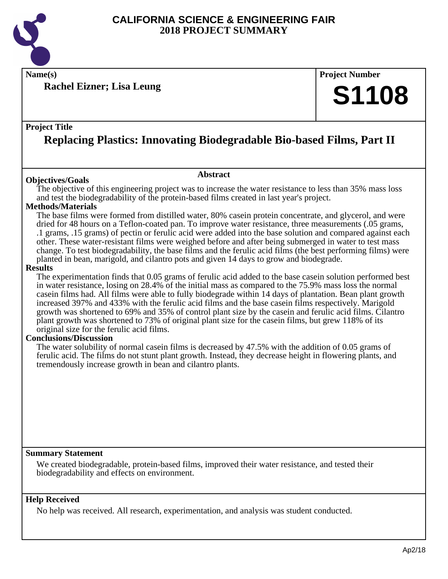

**Name(s) Project Number**

**Rachel Eizner; Lisa Leung**

## **Project Title**

# **Replacing Plastics: Innovating Biodegradable Bio-based Films, Part II**

#### **Objectives/Goals**

The objective of this engineering project was to increase the water resistance to less than 35% mass loss and test the biodegradability of the protein-based films created in last year's project.

**Abstract**

#### **Methods/Materials**

The base films were formed from distilled water, 80% casein protein concentrate, and glycerol, and were dried for 48 hours on a Teflon-coated pan. To improve water resistance, three measurements (.05 grams, .1 grams, .15 grams) of pectin or ferulic acid were added into the base solution and compared against each other. These water-resistant films were weighed before and after being submerged in water to test mass change. To test biodegradability, the base films and the ferulic acid films (the best performing films) were planted in bean, marigold, and cilantro pots and given 14 days to grow and biodegrade.

#### **Results**

The experimentation finds that 0.05 grams of ferulic acid added to the base casein solution performed best in water resistance, losing on 28.4% of the initial mass as compared to the 75.9% mass loss the normal casein films had. All films were able to fully biodegrade within 14 days of plantation. Bean plant growth increased 397% and 433% with the ferulic acid films and the base casein films respectively. Marigold growth was shortened to 69% and 35% of control plant size by the casein and ferulic acid films. Cilantro plant growth was shortened to 73% of original plant size for the casein films, but grew 118% of its original size for the ferulic acid films.

#### **Conclusions/Discussion**

The water solubility of normal casein films is decreased by 47.5% with the addition of 0.05 grams of ferulic acid. The films do not stunt plant growth. Instead, they decrease height in flowering plants, and tremendously increase growth in bean and cilantro plants.

#### **Summary Statement**

We created biodegradable, protein-based films, improved their water resistance, and tested their biodegradability and effects on environment.

#### **Help Received**

No help was received. All research, experimentation, and analysis was student conducted.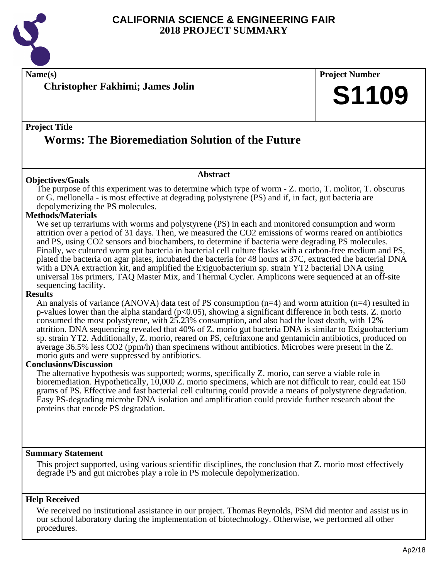

**Name(s) Project Number**

**Christopher Fakhimi; James Jolin**

# **Project Title**

# **Worms: The Bioremediation Solution of the Future**

#### **Objectives/Goals**

The purpose of this experiment was to determine which type of worm - Z. morio, T. molitor, T. obscurus or G. mellonella - is most effective at degrading polystyrene (PS) and if, in fact, gut bacteria are depolymerizing the PS molecules.

**Abstract**

#### **Methods/Materials**

We set up terrariums with worms and polystyrene (PS) in each and monitored consumption and worm attrition over a period of 31 days. Then, we measured the CO2 emissions of worms reared on antibiotics and PS, using CO2 sensors and biochambers, to determine if bacteria were degrading PS molecules. Finally, we cultured worm gut bacteria in bacterial cell culture flasks with a carbon-free medium and PS, plated the bacteria on agar plates, incubated the bacteria for 48 hours at 37C, extracted the bacterial DNA with a DNA extraction kit, and amplified the Exiguobacterium sp. strain YT2 bacterial DNA using universal 16s primers, TAQ Master Mix, and Thermal Cycler. Amplicons were sequenced at an off-site sequencing facility.

#### **Results**

An analysis of variance (ANOVA) data test of PS consumption  $(n=4)$  and worm attrition  $(n=4)$  resulted in p-values lower than the alpha standard (p<0.05), showing a significant difference in both tests. Z. morio consumed the most polystyrene, with 25.23% consumption, and also had the least death, with 12% attrition. DNA sequencing revealed that 40% of Z. morio gut bacteria DNA is similar to Exiguobacterium sp. strain YT2. Additionally, Z. morio, reared on PS, ceftriaxone and gentamicin antibiotics, produced on average 36.5% less CO2 (ppm/h) than specimens without antibiotics. Microbes were present in the Z. morio guts and were suppressed by antibiotics.

#### **Conclusions/Discussion**

The alternative hypothesis was supported; worms, specifically Z. morio, can serve a viable role in bioremediation. Hypothetically, 10,000 Z. morio specimens, which are not difficult to rear, could eat 150 grams of PS. Effective and fast bacterial cell culturing could provide a means of polystyrene degradation. Easy PS-degrading microbe DNA isolation and amplification could provide further research about the proteins that encode PS degradation.

#### **Summary Statement**

This project supported, using various scientific disciplines, the conclusion that Z. morio most effectively degrade PS and gut microbes play a role in PS molecule depolymerization.

#### **Help Received**

We received no institutional assistance in our project. Thomas Reynolds, PSM did mentor and assist us in our school laboratory during the implementation of biotechnology. Otherwise, we performed all other procedures.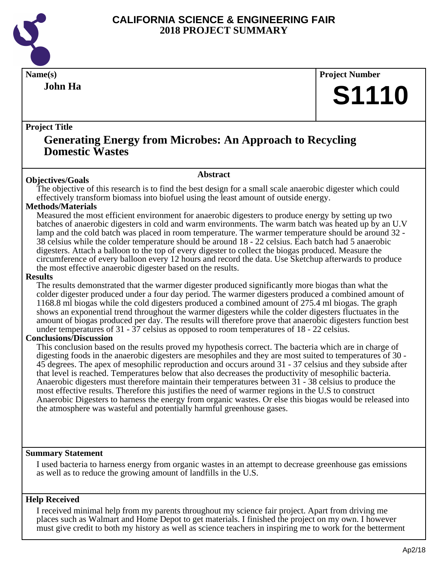

**John Ha**

**Name(s) Project Number**

# **S1110**

# **Project Title**

# **Generating Energy from Microbes: An Approach to Recycling Domestic Wastes**

#### **Abstract**

**Objectives/Goals** The objective of this research is to find the best design for a small scale anaerobic digester which could effectively transform biomass into biofuel using the least amount of outside energy.

# **Methods/Materials**

Measured the most efficient environment for anaerobic digesters to produce energy by setting up two batches of anaerobic digesters in cold and warm environments. The warm batch was heated up by an U.V lamp and the cold batch was placed in room temperature. The warmer temperature should be around 32 - 38 celsius while the colder temperature should be around 18 - 22 celsius. Each batch had 5 anaerobic digesters. Attach a balloon to the top of every digester to collect the biogas produced. Measure the circumference of every balloon every 12 hours and record the data. Use Sketchup afterwards to produce the most effective anaerobic digester based on the results.

#### **Results**

The results demonstrated that the warmer digester produced significantly more biogas than what the colder digester produced under a four day period. The warmer digesters produced a combined amount of 1168.8 ml biogas while the cold digesters produced a combined amount of 275.4 ml biogas. The graph shows an exponential trend throughout the warmer digesters while the colder digesters fluctuates in the amount of biogas produced per day. The results will therefore prove that anaerobic digesters function best under temperatures of 31 - 37 celsius as opposed to room temperatures of 18 - 22 celsius.

#### **Conclusions/Discussion**

This conclusion based on the results proved my hypothesis correct. The bacteria which are in charge of digesting foods in the anaerobic digesters are mesophiles and they are most suited to temperatures of 30 - 45 degrees. The apex of mesophilic reproduction and occurs around 31 - 37 celsius and they subside after that level is reached. Temperatures below that also decreases the productivity of mesophilic bacteria. Anaerobic digesters must therefore maintain their temperatures between 31 - 38 celsius to produce the most effective results. Therefore this justifies the need of warmer regions in the U.S to construct Anaerobic Digesters to harness the energy from organic wastes. Or else this biogas would be released into the atmosphere was wasteful and potentially harmful greenhouse gases.

#### **Summary Statement**

I used bacteria to harness energy from organic wastes in an attempt to decrease greenhouse gas emissions as well as to reduce the growing amount of landfills in the U.S.

#### **Help Received**

I received minimal help from my parents throughout my science fair project. Apart from driving me places such as Walmart and Home Depot to get materials. I finished the project on my own. I however must give credit to both my history as well as science teachers in inspiring me to work for the betterment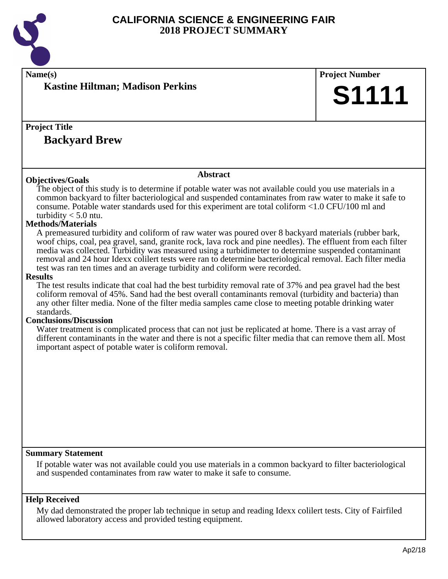

| Name(s)                                                                                                                                                                                                         | <b>Project Number</b> |
|-----------------------------------------------------------------------------------------------------------------------------------------------------------------------------------------------------------------|-----------------------|
| <b>Kastine Hiltman; Madison Perkins</b>                                                                                                                                                                         |                       |
|                                                                                                                                                                                                                 | <b>S1111</b>          |
|                                                                                                                                                                                                                 |                       |
|                                                                                                                                                                                                                 |                       |
|                                                                                                                                                                                                                 |                       |
| <b>Project Title</b>                                                                                                                                                                                            |                       |
| <b>Backyard Brew</b>                                                                                                                                                                                            |                       |
|                                                                                                                                                                                                                 |                       |
|                                                                                                                                                                                                                 |                       |
|                                                                                                                                                                                                                 |                       |
| <b>Abstract</b>                                                                                                                                                                                                 |                       |
| <b>Objectives/Goals</b>                                                                                                                                                                                         |                       |
| The object of this study is to determine if potable water was not available could you use materials in a                                                                                                        |                       |
| common backyard to filter bacteriological and suspended contaminates from raw water to make it safe to                                                                                                          |                       |
| consume. Potable water standards used for this experiment are total coliform <1.0 CFU/100 ml and                                                                                                                |                       |
| turbidity $<$ 5.0 ntu.<br><b>Methods/Materials</b>                                                                                                                                                              |                       |
|                                                                                                                                                                                                                 |                       |
| A premeasured turbidity and coliform of raw water was poured over 8 backyard materials (rubber bark,                                                                                                            |                       |
| woof chips, coal, pea gravel, sand, granite rock, lava rock and pine needles). The effluent from each filter                                                                                                    |                       |
| media was collected. Turbidity was measured using a turbidimeter to determine suspended contaminant<br>removal and 24 hour Idexx collert tests were ran to determine bacteriological removal. Each filter media |                       |
| test was ran ten times and an average turbidity and coliform were recorded.                                                                                                                                     |                       |
| <b>Results</b>                                                                                                                                                                                                  |                       |
| The test results indicate that coal had the best turbidity removal rate of 37% and pea gravel had the best                                                                                                      |                       |
| coliform removal of 45%. Sand had the best overall contaminants removal (turbidity and bacteria) than                                                                                                           |                       |
| any other filter media. None of the filter media samples came close to meeting potable drinking water                                                                                                           |                       |
| standards.                                                                                                                                                                                                      |                       |
| <b>Conclusions/Discussion</b>                                                                                                                                                                                   |                       |
| Water treatment is complicated process that can not just be replicated at home. There is a vast array of                                                                                                        |                       |
| different contaminants in the water and there is not a specific filter media that can remove them all. Most                                                                                                     |                       |
| important aspect of potable water is coliform removal.                                                                                                                                                          |                       |
|                                                                                                                                                                                                                 |                       |
|                                                                                                                                                                                                                 |                       |
|                                                                                                                                                                                                                 |                       |
|                                                                                                                                                                                                                 |                       |
|                                                                                                                                                                                                                 |                       |
|                                                                                                                                                                                                                 |                       |
|                                                                                                                                                                                                                 |                       |
|                                                                                                                                                                                                                 |                       |
|                                                                                                                                                                                                                 |                       |
|                                                                                                                                                                                                                 |                       |
|                                                                                                                                                                                                                 |                       |
| <b>Summary Statement</b>                                                                                                                                                                                        |                       |
| If potable water was not available could you use materials in a common backyard to filter bacteriological                                                                                                       |                       |
| and suspended contaminates from raw water to make it safe to consume.                                                                                                                                           |                       |
|                                                                                                                                                                                                                 |                       |
|                                                                                                                                                                                                                 |                       |

# **Help Received**

My dad demonstrated the proper lab technique in setup and reading Idexx colilert tests. City of Fairfiled allowed laboratory access and provided testing equipment.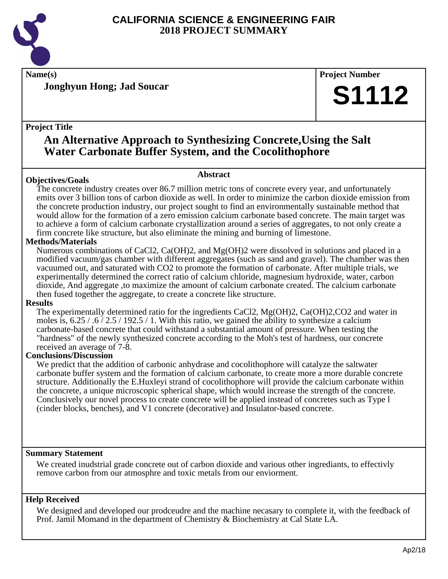

**Name(s) Project Number**

**Jonghyun Hong; Jad Soucar**

## **Project Title**

# **An Alternative Approach to Synthesizing Concrete,Using the Salt Water Carbonate Buffer System, and the Cocolithophore**

# **Objectives/Goals**

#### **Abstract**

The concrete industry creates over 86.7 million metric tons of concrete every year, and unfortunately emits over 3 billion tons of carbon dioxide as well. In order to minimize the carbon dioxide emission from the concrete production industry, our project sought to find an environmentally sustainable method that would allow for the formation of a zero emission calcium carbonate based concrete. The main target was to achieve a form of calcium carbonate crystallization around a series of aggregates, to not only create a firm concrete like structure, but also eliminate the mining and burning of limestone.

# **Methods/Materials**

Numerous combinations of CaCl2, Ca(OH)2, and Mg(OH)2 were dissolved in solutions and placed in a modified vacuum/gas chamber with different aggregates (such as sand and gravel). The chamber was then vacuumed out, and saturated with CO2 to promote the formation of carbonate. After multiple trials, we experimentally determined the correct ratio of calcium chloride, magnesium hydroxide, water, carbon dioxide, And aggregate ,to maximize the amount of calcium carbonate created. The calcium carbonate then fused together the aggregate, to create a concrete like structure.

#### **Results**

The experimentally determined ratio for the ingredients CaCl2, Mg(OH)2, Ca(OH)2,CO2 and water in moles is,  $6.25 / .6 / 2.5 / 192.5 / 1$ . With this ratio, we gained the ability to synthesize a calcium carbonate-based concrete that could withstand a substantial amount of pressure. When testing the "hardness" of the newly synthesized concrete according to the Moh's test of hardness, our concrete received an average of 7-8.

# **Conclusions/Discussion**

We predict that the addition of carbonic anhydrase and cocolithophore will catalyze the saltwater carbonate buffer system and the formation of calcium carbonate, to create more a more durable concrete structure. Additionally the E.Huxleyi strand of cocolithophore will provide the calcium carbonate within the concrete, a unique microscopic spherical shape, which would increase the strength of the concrete. Conclusively our novel process to create concrete will be applied instead of concretes such as Type l (cinder blocks, benches), and V1 concrete (decorative) and Insulator-based concrete.

# **Summary Statement**

We created inudstrial grade concrete out of carbon dioxide and various other ingrediants, to effectivly remove carbon from our atmosphre and toxic metals from our enviorment.

# **Help Received**

We designed and developed our prodceudre and the machine necasary to complete it, with the feedback of Prof. Jamil Momand in the department of Chemistry & Biochemistry at Cal State LA.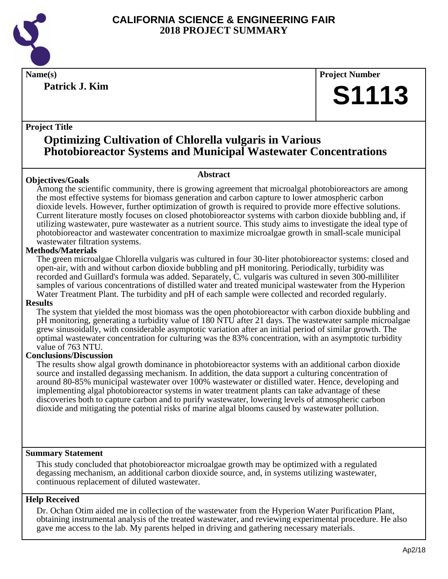

**Patrick J. Kim**

**Name(s) Project Number**

# **S1113**

# **Project Title**

# **Optimizing Cultivation of Chlorella vulgaris in Various Photobioreactor Systems and Municipal Wastewater Concentrations**

# **Abstract**

**Objectives/Goals** Among the scientific community, there is growing agreement that microalgal photobioreactors are among the most effective systems for biomass generation and carbon capture to lower atmospheric carbon dioxide levels. However, further optimization of growth is required to provide more effective solutions. Current literature mostly focuses on closed photobioreactor systems with carbon dioxide bubbling and, if utilizing wastewater, pure wastewater as a nutrient source. This study aims to investigate the ideal type of photobioreactor and wastewater concentration to maximize microalgae growth in small-scale municipal wastewater filtration systems.

## **Methods/Materials**

The green microalgae Chlorella vulgaris was cultured in four 30-liter photobioreactor systems: closed and open-air, with and without carbon dioxide bubbling and pH monitoring. Periodically, turbidity was recorded and Guillard's formula was added. Separately, C. vulgaris was cultured in seven 300-milliliter samples of various concentrations of distilled water and treated municipal wastewater from the Hyperion Water Treatment Plant. The turbidity and pH of each sample were collected and recorded regularly.

#### **Results**

The system that yielded the most biomass was the open photobioreactor with carbon dioxide bubbling and pH monitoring, generating a turbidity value of 180 NTU after 21 days. The wastewater sample microalgae grew sinusoidally, with considerable asymptotic variation after an initial period of similar growth. The optimal wastewater concentration for culturing was the 83% concentration, with an asymptotic turbidity value of 763 NTU.

#### **Conclusions/Discussion**

The results show algal growth dominance in photobioreactor systems with an additional carbon dioxide source and installed degassing mechanism. In addition, the data support a culturing concentration of around 80-85% municipal wastewater over 100% wastewater or distilled water. Hence, developing and implementing algal photobioreactor systems in water treatment plants can take advantage of these discoveries both to capture carbon and to purify wastewater, lowering levels of atmospheric carbon dioxide and mitigating the potential risks of marine algal blooms caused by wastewater pollution.

#### **Summary Statement**

This study concluded that photobioreactor microalgae growth may be optimized with a regulated degassing mechanism, an additional carbon dioxide source, and, in systems utilizing wastewater, continuous replacement of diluted wastewater.

# **Help Received**

Dr. Ochan Otim aided me in collection of the wastewater from the Hyperion Water Purification Plant, obtaining instrumental analysis of the treated wastewater, and reviewing experimental procedure. He also gave me access to the lab. My parents helped in driving and gathering necessary materials.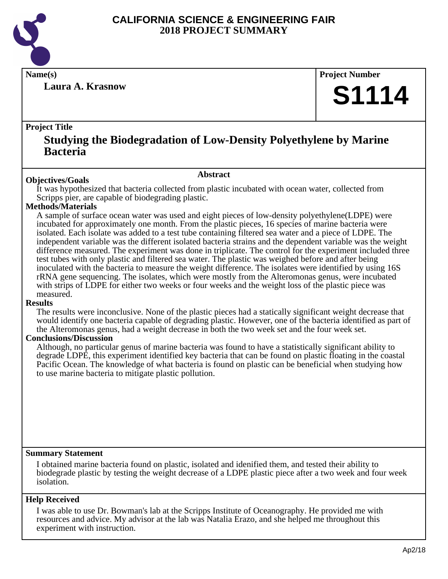

**Laura A. Krasnow**

**Name(s) Project Number**

# **S1114**

# **Project Title**

# **Studying the Biodegradation of Low-Density Polyethylene by Marine Bacteria**

#### **Abstract**

**Objectives/Goals** It was hypothesized that bacteria collected from plastic incubated with ocean water, collected from Scripps pier, are capable of biodegrading plastic.

## **Methods/Materials**

A sample of surface ocean water was used and eight pieces of low-density polyethylene(LDPE) were incubated for approximately one month. From the plastic pieces, 16 species of marine bacteria were isolated. Each isolate was added to a test tube containing filtered sea water and a piece of LDPE. The independent variable was the different isolated bacteria strains and the dependent variable was the weight difference measured. The experiment was done in triplicate. The control for the experiment included three test tubes with only plastic and filtered sea water. The plastic was weighed before and after being inoculated with the bacteria to measure the weight difference. The isolates were identified by using 16S rRNA gene sequencing. The isolates, which were mostly from the Alteromonas genus, were incubated with strips of LDPE for either two weeks or four weeks and the weight loss of the plastic piece was measured.

#### **Results**

The results were inconclusive. None of the plastic pieces had a statically significant weight decrease that would identify one bacteria capable of degrading plastic. However, one of the bacteria identified as part of the Alteromonas genus, had a weight decrease in both the two week set and the four week set.

#### **Conclusions/Discussion**

Although, no particular genus of marine bacteria was found to have a statistically significant ability to degrade LDPE, this experiment identified key bacteria that can be found on plastic floating in the coastal Pacific Ocean. The knowledge of what bacteria is found on plastic can be beneficial when studying how to use marine bacteria to mitigate plastic pollution.

#### **Summary Statement**

I obtained marine bacteria found on plastic, isolated and idenified them, and tested their ability to biodegrade plastic by testing the weight decrease of a LDPE plastic piece after a two week and four week isolation.

#### **Help Received**

I was able to use Dr. Bowman's lab at the Scripps Institute of Oceanography. He provided me with resources and advice. My advisor at the lab was Natalia Erazo, and she helped me throughout this experiment with instruction.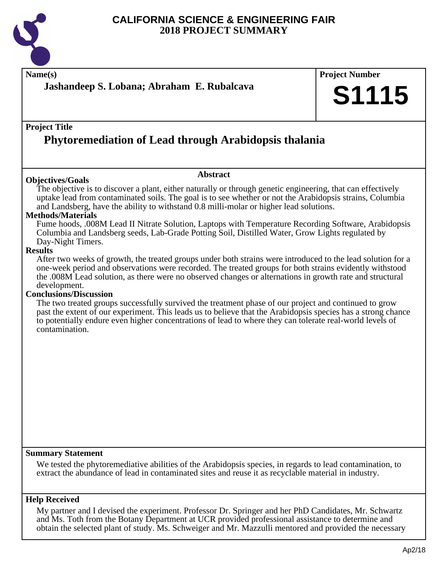

**Name(s) Project Number Project Title Abstract Summary Statement Help Received Jashandeep S. Lobana; Abraham E. Rubalcava Phytoremediation of Lead through Arabidopsis thalania S1115 Objectives/Goals** The objective is to discover a plant, either naturally or through genetic engineering, that can effectively uptake lead from contaminated soils. The goal is to see whether or not the Arabidopsis strains, Columbia and Landsberg, have the ability to withstand 0.8 milli-molar or higher lead solutions. **Methods/Materials** Fume hoods, .008M Lead II Nitrate Solution, Laptops with Temperature Recording Software, Arabidopsis Columbia and Landsberg seeds, Lab-Grade Potting Soil, Distilled Water, Grow Lights regulated by Day-Night Timers. **Results** After two weeks of growth, the treated groups under both strains were introduced to the lead solution for a one-week period and observations were recorded. The treated groups for both strains evidently withstood the .008M Lead solution, as there were no observed changes or alternations in growth rate and structural development. **Conclusions/Discussion** The two treated groups successfully survived the treatment phase of our project and continued to grow past the extent of our experiment. This leads us to believe that the Arabidopsis species has a strong chance to potentially endure even higher concentrations of lead to where they can tolerate real-world levels of contamination. We tested the phytoremediative abilities of the Arabidopsis species, in regards to lead contamination, to extract the abundance of lead in contaminated sites and reuse it as recyclable material in industry. My partner and I devised the experiment. Professor Dr. Springer and her PhD Candidates, Mr. Schwartz and Ms. Toth from the Botany Department at UCR provided professional assistance to determine and

obtain the selected plant of study. Ms. Schweiger and Mr. Mazzulli mentored and provided the necessary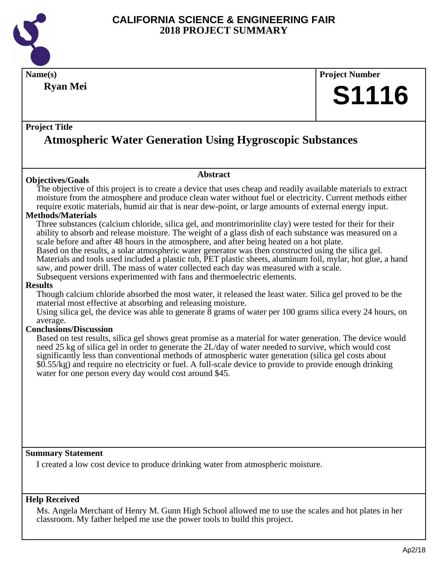

**Name(s) Project Number Project Title Abstract Ryan Mei Atmospheric Water Generation Using Hygroscopic Substances S1116 Objectives/Goals** The objective of this project is to create a device that uses cheap and readily available materials to extract moisture from the atmosphere and produce clean water without fuel or electricity. Current methods either require exotic materials, humid air that is near dew-point, or large amounts of external energy input. **Methods/Materials** Three substances (calcium chloride, silica gel, and montrimorinlite clay) were tested for their for their ability to absorb and release moisture. The weight of a glass dish of each substance was measured on a scale before and after 48 hours in the atmosphere, and after being heated on a hot plate. Based on the results, a solar atmospheric water generator was then constructed using the silica gel. Materials and tools used included a plastic tub, PET plastic sheets, aluminum foil, mylar, hot glue, a hand saw, and power drill. The mass of water collected each day was measured with a scale. Subsequent versions experimented with fans and thermoelectric elements. **Results** Though calcium chloride absorbed the most water, it released the least water. Silica gel proved to be the material most effective at absorbing and releasing moisture. Using silica gel, the device was able to generate 8 grams of water per 100 grams silica every 24 hours, on average. **Conclusions/Discussion** Based on test results, silica gel shows great promise as a material for water generation. The device would need 25 kg of silica gel in order to generate the 2L/day of water needed to survive, which would cost significantly less than conventional methods of atmospheric water generation (silica gel costs about \$0.55/kg) and require no electricity or fuel. A full-scale device to provide to provide enough drinking water for one person every day would cost around \$45.

#### **Summary Statement**

I created a low cost device to produce drinking water from atmospheric moisture.

#### **Help Received**

Ms. Angela Merchant of Henry M. Gunn High School allowed me to use the scales and hot plates in her classroom. My father helped me use the power tools to build this project.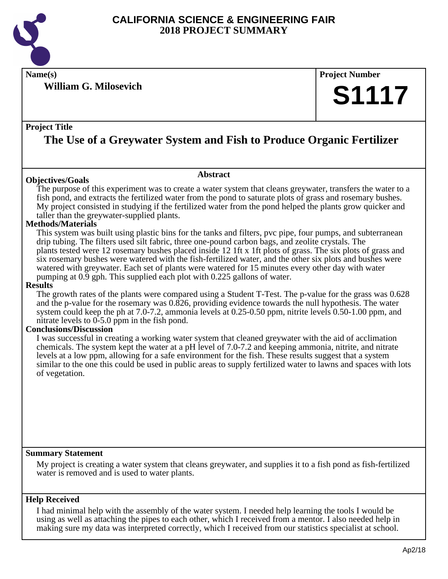

**Name(s) Project Number**

**William G. Milosevich**

## **Project Title**

# **The Use of a Greywater System and Fish to Produce Organic Fertilizer**

#### **Objectives/Goals**

The purpose of this experiment was to create a water system that cleans greywater, transfers the water to a fish pond, and extracts the fertilized water from the pond to saturate plots of grass and rosemary bushes. My project consisted in studying if the fertilized water from the pond helped the plants grow quicker and taller than the greywater-supplied plants.

**Abstract**

#### **Methods/Materials**

This system was built using plastic bins for the tanks and filters, pvc pipe, four pumps, and subterranean drip tubing. The filters used silt fabric, three one-pound carbon bags, and zeolite crystals. The plants tested were 12 rosemary bushes placed inside 12 1ft x 1ft plots of grass. The six plots of grass and six rosemary bushes were watered with the fish-fertilized water, and the other six plots and bushes were watered with greywater. Each set of plants were watered for 15 minutes every other day with water pumping at 0.9 gph. This supplied each plot with 0.225 gallons of water.

#### **Results**

The growth rates of the plants were compared using a Student T-Test. The p-value for the grass was 0.628 and the p-value for the rosemary was 0.826, providing evidence towards the null hypothesis. The water system could keep the ph at 7.0-7.2, ammonia levels at 0.25-0.50 ppm, nitrite levels 0.50-1.00 ppm, and nitrate levels to 0-5.0 ppm in the fish pond.

#### **Conclusions/Discussion**

I was successful in creating a working water system that cleaned greywater with the aid of acclimation chemicals. The system kept the water at a pH level of 7.0-7.2 and keeping ammonia, nitrite, and nitrate levels at a low ppm, allowing for a safe environment for the fish. These results suggest that a system similar to the one this could be used in public areas to supply fertilized water to lawns and spaces with lots of vegetation.

#### **Summary Statement**

My project is creating a water system that cleans greywater, and supplies it to a fish pond as fish-fertilized water is removed and is used to water plants.

#### **Help Received**

I had minimal help with the assembly of the water system. I needed help learning the tools I would be using as well as attaching the pipes to each other, which I received from a mentor. I also needed help in making sure my data was interpreted correctly, which I received from our statistics specialist at school.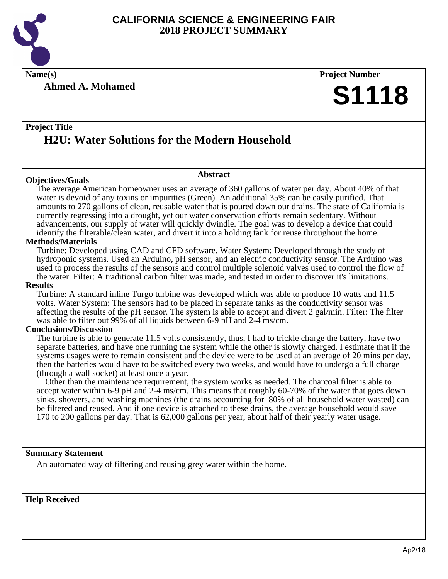

**Name(s) Project Number**

**Ahmed A. Mohamed**

# **S1118**

# **Project Title H2U: Water Solutions for the Modern Household**

## **Objectives/Goals**

The average American homeowner uses an average of 360 gallons of water per day. About 40% of that water is devoid of any toxins or impurities (Green). An additional 35% can be easily purified. That amounts to 270 gallons of clean, reusable water that is poured down our drains. The state of California is

**Abstract**

currently regressing into a drought, yet our water conservation efforts remain sedentary. Without advancements, our supply of water will quickly dwindle. The goal was to develop a device that could identify the filterable/clean water, and divert it into a holding tank for reuse throughout the home.

## **Methods/Materials**

Turbine: Developed using CAD and CFD software. Water System: Developed through the study of hydroponic systems. Used an Arduino, pH sensor, and an electric conductivity sensor. The Arduino was used to process the results of the sensors and control multiple solenoid valves used to control the flow of the water. Filter: A traditional carbon filter was made, and tested in order to discover it's limitations.

#### **Results**

Turbine: A standard inline Turgo turbine was developed which was able to produce 10 watts and 11.5 volts. Water System: The sensors had to be placed in separate tanks as the conductivity sensor was affecting the results of the pH sensor. The system is able to accept and divert 2 gal/min. Filter: The filter was able to filter out 99% of all liquids between 6-9 pH and 2-4 ms/cm.

#### **Conclusions/Discussion**

The turbine is able to generate 11.5 volts consistently, thus, I had to trickle charge the battery, have two separate batteries, and have one running the system while the other is slowly charged. I estimate that if the systems usages were to remain consistent and the device were to be used at an average of 20 mins per day, then the batteries would have to be switched every two weeks, and would have to undergo a full charge (through a wall socket) at least once a year.

 Other than the maintenance requirement, the system works as needed. The charcoal filter is able to accept water within 6-9 pH and 2-4 ms/cm. This means that roughly 60-70% of the water that goes down sinks, showers, and washing machines (the drains accounting for 80% of all household water wasted) can be filtered and reused. And if one device is attached to these drains, the average household would save 170 to 200 gallons per day. That is 62,000 gallons per year, about half of their yearly water usage.

#### **Summary Statement**

An automated way of filtering and reusing grey water within the home.

**Help Received**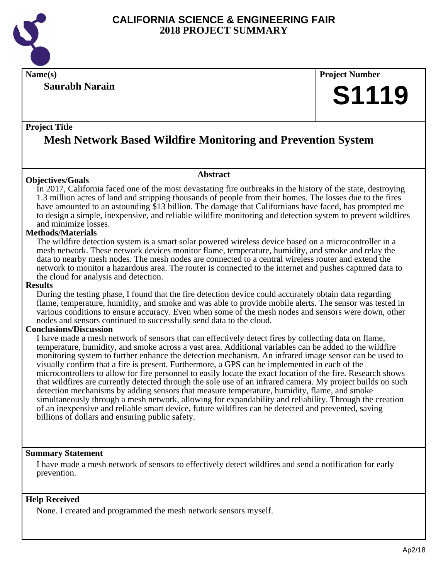

**Saurabh Narain**

**Name(s) Project Number**

# **S1119**

# **Project Title**

# **Mesh Network Based Wildfire Monitoring and Prevention System**

**Abstract**

# **Objectives/Goals**

In 2017, California faced one of the most devastating fire outbreaks in the history of the state, destroying 1.3 million acres of land and stripping thousands of people from their homes. The losses due to the fires have amounted to an astounding \$13 billion. The damage that Californians have faced, has prompted me to design a simple, inexpensive, and reliable wildfire monitoring and detection system to prevent wildfires and minimize losses.

# **Methods/Materials**

The wildfire detection system is a smart solar powered wireless device based on a microcontroller in a mesh network. These network devices monitor flame, temperature, humidity, and smoke and relay the data to nearby mesh nodes. The mesh nodes are connected to a central wireless router and extend the network to monitor a hazardous area. The router is connected to the internet and pushes captured data to the cloud for analysis and detection.

#### **Results**

During the testing phase, I found that the fire detection device could accurately obtain data regarding flame, temperature, humidity, and smoke and was able to provide mobile alerts. The sensor was tested in various conditions to ensure accuracy. Even when some of the mesh nodes and sensors were down, other nodes and sensors continued to successfully send data to the cloud.

#### **Conclusions/Discussion**

I have made a mesh network of sensors that can effectively detect fires by collecting data on flame, temperature, humidity, and smoke across a vast area. Additional variables can be added to the wildfire monitoring system to further enhance the detection mechanism. An infrared image sensor can be used to visually confirm that a fire is present. Furthermore, a GPS can be implemented in each of the microcontrollers to allow for fire personnel to easily locate the exact location of the fire. Research shows that wildfires are currently detected through the sole use of an infrared camera. My project builds on such detection mechanisms by adding sensors that measure temperature, humidity, flame, and smoke simultaneously through a mesh network, allowing for expandability and reliability. Through the creation of an inexpensive and reliable smart device, future wildfires can be detected and prevented, saving billions of dollars and ensuring public safety.

#### **Summary Statement**

I have made a mesh network of sensors to effectively detect wildfires and send a notification for early prevention.

#### **Help Received**

None. I created and programmed the mesh network sensors myself.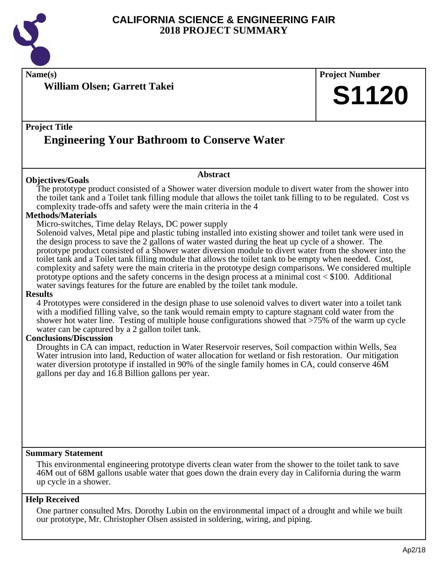

**Name(s) Project Number Project Title Abstract William Olsen; Garrett Takei Engineering Your Bathroom to Conserve Water**

#### **Objectives/Goals**

The prototype product consisted of a Shower water diversion module to divert water from the shower into the toilet tank and a Toilet tank filling module that allows the toilet tank filling to to be regulated. Cost vs complexity trade-offs and safety were the main criteria in the 4

#### **Methods/Materials**

Micro-switches, Time delay Relays, DC power supply

Solenoid valves, Metal pipe and plastic tubing installed into existing shower and toilet tank were used in the design process to save the 2 gallons of water wasted during the heat up cycle of a shower. The prototype product consisted of a Shower water diversion module to divert water from the shower into the toilet tank and a Toilet tank filling module that allows the toilet tank to be empty when needed. Cost, complexity and safety were the main criteria in the prototype design comparisons. We considered multiple prototype options and the safety concerns in the design process at a minimal cost < \$100. Additional water savings features for the future are enabled by the toilet tank module.

#### **Results**

4 Prototypes were considered in the design phase to use solenoid valves to divert water into a toilet tank with a modified filling valve, so the tank would remain empty to capture stagnant cold water from the shower hot water line. Testing of multiple house configurations showed that >75% of the warm up cycle water can be captured by a 2 gallon toilet tank.

#### **Conclusions/Discussion**

Droughts in CA can impact, reduction in Water Reservoir reserves, Soil compaction within Wells, Sea Water intrusion into land, Reduction of water allocation for wetland or fish restoration. Our mitigation water diversion prototype if installed in 90% of the single family homes in CA, could conserve 46M gallons per day and 16.8 Billion gallons per year.

#### **Summary Statement**

This environmental engineering prototype diverts clean water from the shower to the toilet tank to save 46M out of 68M gallons usable water that goes down the drain every day in California during the warm up cycle in a shower.

#### **Help Received**

One partner consulted Mrs. Dorothy Lubin on the environmental impact of a drought and while we built our prototype, Mr. Christopher Olsen assisted in soldering, wiring, and piping.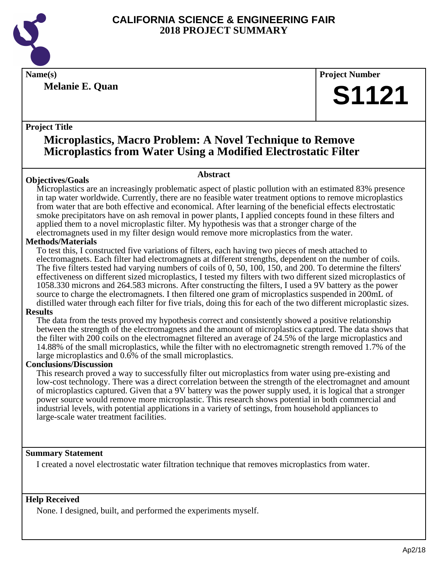

**Melanie E. Quan**

**Name(s) Project Number**

# **S1121**

# **Project Title**

# **Microplastics, Macro Problem: A Novel Technique to Remove Microplastics from Water Using a Modified Electrostatic Filter**

Microplastics are an increasingly problematic aspect of plastic pollution with an estimated 83% presence in tap water worldwide. Currently, there are no feasible water treatment options to remove microplastics from water that are both effective and economical. After learning of the beneficial effects electrostatic smoke precipitators have on ash removal in power plants, I applied concepts found in these filters and applied them to a novel microplastic filter. My hypothesis was that a stronger charge of the electromagnets used in my filter design would remove more microplastics from the water.

**Abstract**

## **Methods/Materials**

**Objectives/Goals**

To test this, I constructed five variations of filters, each having two pieces of mesh attached to electromagnets. Each filter had electromagnets at different strengths, dependent on the number of coils. The five filters tested had varying numbers of coils of 0, 50, 100, 150, and 200. To determine the filters' effectiveness on different sized microplastics, I tested my filters with two different sized microplastics of 1058.330 microns and 264.583 microns. After constructing the filters, I used a 9V battery as the power source to charge the electromagnets. I then filtered one gram of microplastics suspended in 200mL of distilled water through each filter for five trials, doing this for each of the two different microplastic sizes.

#### **Results**

The data from the tests proved my hypothesis correct and consistently showed a positive relationship between the strength of the electromagnets and the amount of microplastics captured. The data shows that the filter with 200 coils on the electromagnet filtered an average of 24.5% of the large microplastics and 14.88% of the small microplastics, while the filter with no electromagnetic strength removed 1.7% of the large microplastics and 0.6% of the small microplastics.

#### **Conclusions/Discussion**

This research proved a way to successfully filter out microplastics from water using pre-existing and low-cost technology. There was a direct correlation between the strength of the electromagnet and amount of microplastics captured. Given that a 9V battery was the power supply used, it is logical that a stronger power source would remove more microplastic. This research shows potential in both commercial and industrial levels, with potential applications in a variety of settings, from household appliances to large-scale water treatment facilities.

#### **Summary Statement**

I created a novel electrostatic water filtration technique that removes microplastics from water.

# **Help Received**

None. I designed, built, and performed the experiments myself.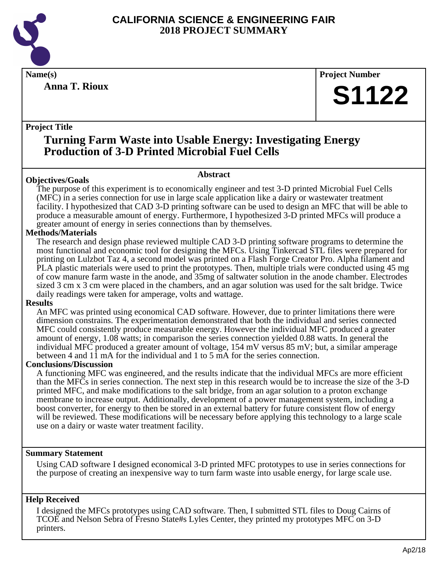

**Anna T. Rioux**

**Name(s) Project Number**

# **S1122**

# **Project Title**

# **Turning Farm Waste into Usable Energy: Investigating Energy Production of 3-D Printed Microbial Fuel Cells**

# **Objectives/Goals**

The purpose of this experiment is to economically engineer and test 3-D printed Microbial Fuel Cells (MFC) in a series connection for use in large scale application like a dairy or wastewater treatment facility. I hypothesized that CAD 3-D printing software can be used to design an MFC that will be able to produce a measurable amount of energy. Furthermore, I hypothesized 3-D printed MFCs will produce a greater amount of energy in series connections than by themselves.

**Abstract**

# **Methods/Materials**

The research and design phase reviewed multiple CAD 3-D printing software programs to determine the most functional and economic tool for designing the MFCs. Using Tinkercad STL files were prepared for printing on Lulzbot Taz 4, a second model was printed on a Flash Forge Creator Pro. Alpha filament and PLA plastic materials were used to print the prototypes. Then, multiple trials were conducted using 45 mg of cow manure farm waste in the anode, and 35mg of saltwater solution in the anode chamber. Electrodes sized 3 cm x 3 cm were placed in the chambers, and an agar solution was used for the salt bridge. Twice daily readings were taken for amperage, volts and wattage.

# **Results**

An MFC was printed using economical CAD software. However, due to printer limitations there were dimension constrains. The experimentation demonstrated that both the individual and series connected MFC could consistently produce measurable energy. However the individual MFC produced a greater amount of energy, 1.08 watts; in comparison the series connection yielded 0.88 watts. In general the individual MFC produced a greater amount of voltage, 154 mV versus 85 mV; but, a similar amperage between 4 and 11 mA for the individual and 1 to 5 mA for the series connection.

# **Conclusions/Discussion**

A functioning MFC was engineered, and the results indicate that the individual MFCs are more efficient than the MFCs in series connection. The next step in this research would be to increase the size of the 3-D printed MFC, and make modifications to the salt bridge, from an agar solution to a proton exchange membrane to increase output. Additionally, development of a power management system, including a boost converter, for energy to then be stored in an external battery for future consistent flow of energy will be reviewed. These modifications will be necessary before applying this technology to a large scale use on a dairy or waste water treatment facility.

# **Summary Statement**

Using CAD software I designed economical 3-D printed MFC prototypes to use in series connections for the purpose of creating an inexpensive way to turn farm waste into usable energy, for large scale use.

# **Help Received**

I designed the MFCs prototypes using CAD software. Then, I submitted STL files to Doug Cairns of TCOE and Nelson Sebra of Fresno State#s Lyles Center, they printed my prototypes MFC on 3-D printers.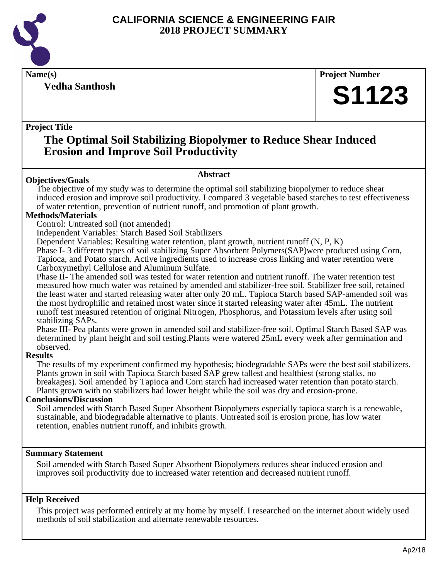

**Vedha Santhosh**

**Name(s) Project Number**

# **S1123**

# **Project Title**

# **The Optimal Soil Stabilizing Biopolymer to Reduce Shear Induced Erosion and Improve Soil Productivity**

# **Objectives/Goals**

#### **Abstract**

The objective of my study was to determine the optimal soil stabilizing biopolymer to reduce shear induced erosion and improve soil productivity. I compared 3 vegetable based starches to test effectiveness of water retention, prevention of nutrient runoff, and promotion of plant growth.

# **Methods/Materials**

Control: Untreated soil (not amended)

Independent Variables: Starch Based Soil Stabilizers

Dependent Variables: Resulting water retention, plant growth, nutrient runoff (N, P, K)

Phase I- 3 different types of soil stabilizing Super Absorbent Polymers(SAP)were produced using Corn, Tapioca, and Potato starch. Active ingredients used to increase cross linking and water retention were Carboxymethyl Cellulose and Aluminum Sulfate.

Phase II- The amended soil was tested for water retention and nutrient runoff. The water retention test measured how much water was retained by amended and stabilizer-free soil. Stabilizer free soil, retained the least water and started releasing water after only 20 mL. Tapioca Starch based SAP-amended soil was the most hydrophilic and retained most water since it started releasing water after 45mL. The nutrient runoff test measured retention of original Nitrogen, Phosphorus, and Potassium levels after using soil stabilizing SAPs.

Phase III- Pea plants were grown in amended soil and stabilizer-free soil. Optimal Starch Based SAP was determined by plant height and soil testing.Plants were watered 25mL every week after germination and observed.

#### **Results**

The results of my experiment confirmed my hypothesis; biodegradable SAPs were the best soil stabilizers. Plants grown in soil with Tapioca Starch based SAP grew tallest and healthiest (strong stalks, no breakages). Soil amended by Tapioca and Corn starch had increased water retention than potato starch. Plants grown with no stabilizers had lower height while the soil was dry and erosion-prone.

# **Conclusions/Discussion**

Soil amended with Starch Based Super Absorbent Biopolymers especially tapioca starch is a renewable, sustainable, and biodegradable alternative to plants. Untreated soil is erosion prone, has low water retention, enables nutrient runoff, and inhibits growth.

# **Summary Statement**

Soil amended with Starch Based Super Absorbent Biopolymers reduces shear induced erosion and improves soil productivity due to increased water retention and decreased nutrient runoff.

# **Help Received**

This project was performed entirely at my home by myself. I researched on the internet about widely used methods of soil stabilization and alternate renewable resources.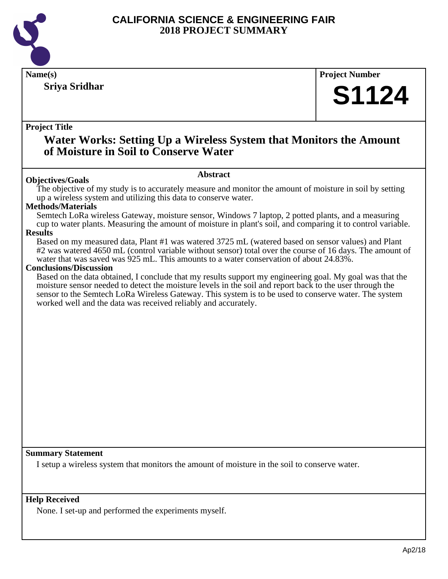

# **Sriya Sridhar**

# **Name(s) Project Number**

# **S1124**

# **Project Title**

# **Water Works: Setting Up a Wireless System that Monitors the Amount of Moisture in Soil to Conserve Water**

#### **Abstract**

**Objectives/Goals** The objective of my study is to accurately measure and monitor the amount of moisture in soil by setting up a wireless system and utilizing this data to conserve water.

## **Methods/Materials**

Semtech LoRa wireless Gateway, moisture sensor, Windows 7 laptop, 2 potted plants, and a measuring cup to water plants. Measuring the amount of moisture in plant's soil, and comparing it to control variable.

## **Results**

Based on my measured data, Plant #1 was watered 3725 mL (watered based on sensor values) and Plant #2 was watered 4650 mL (control variable without sensor) total over the course of 16 days. The amount of water that was saved was 925 mL. This amounts to a water conservation of about 24.83%.

#### **Conclusions/Discussion**

Based on the data obtained, I conclude that my results support my engineering goal. My goal was that the moisture sensor needed to detect the moisture levels in the soil and report back to the user through the sensor to the Semtech LoRa Wireless Gateway. This system is to be used to conserve water. The system worked well and the data was received reliably and accurately.

#### **Summary Statement**

I setup a wireless system that monitors the amount of moisture in the soil to conserve water.

#### **Help Received**

None. I set-up and performed the experiments myself.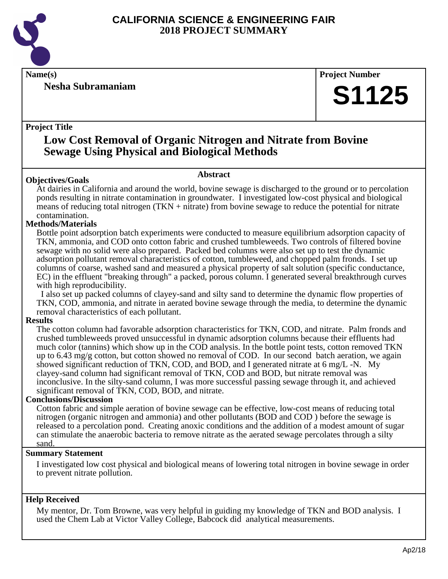

**Nesha Subramaniam**

**Name(s) Project Number**

# **S1125**

# **Project Title**

# **Low Cost Removal of Organic Nitrogen and Nitrate from Bovine Sewage Using Physical and Biological Methods**

## **Abstract**

**Objectives/Goals** At dairies in California and around the world, bovine sewage is discharged to the ground or to percolation ponds resulting in nitrate contamination in groundwater. I investigated low-cost physical and biological means of reducing total nitrogen (TKN + nitrate) from bovine sewage to reduce the potential for nitrate contamination.

# **Methods/Materials**

Bottle point adsorption batch experiments were conducted to measure equilibrium adsorption capacity of TKN, ammonia, and COD onto cotton fabric and crushed tumbleweeds. Two controls of filtered bovine sewage with no solid were also prepared. Packed bed columns were also set up to test the dynamic adsorption pollutant removal characteristics of cotton, tumbleweed, and chopped palm fronds. I set up columns of coarse, washed sand and measured a physical property of salt solution (specific conductance, EC) in the effluent "breaking through" a packed, porous column. I generated several breakthrough curves with high reproducibility.

 I also set up packed columns of clayey-sand and silty sand to determine the dynamic flow properties of TKN, COD, ammonia, and nitrate in aerated bovine sewage through the media, to determine the dynamic removal characteristics of each pollutant.

# **Results**

The cotton column had favorable adsorption characteristics for TKN, COD, and nitrate. Palm fronds and crushed tumbleweeds proved unsuccessful in dynamic adsorption columns because their effluents had much color (tannins) which show up in the COD analysis. In the bottle point tests, cotton removed TKN up to 6.43 mg/g cotton, but cotton showed no removal of COD. In our second batch aeration, we again showed significant reduction of TKN, COD, and BOD, and I generated nitrate at 6 mg/L -N. My clayey-sand column had significant removal of TKN, COD and BOD, but nitrate removal was inconclusive. In the silty-sand column, I was more successful passing sewage through it, and achieved significant removal of TKN, COD, BOD, and nitrate.

# **Conclusions/Discussion**

Cotton fabric and simple aeration of bovine sewage can be effective, low-cost means of reducing total nitrogen (organic nitrogen and ammonia) and other pollutants (BOD and COD ) before the sewage is released to a percolation pond. Creating anoxic conditions and the addition of a modest amount of sugar can stimulate the anaerobic bacteria to remove nitrate as the aerated sewage percolates through a silty sand.

# **Summary Statement**

I investigated low cost physical and biological means of lowering total nitrogen in bovine sewage in order to prevent nitrate pollution.

# **Help Received**

My mentor, Dr. Tom Browne, was very helpful in guiding my knowledge of TKN and BOD analysis. I used the Chem Lab at Victor Valley College, Babcock did analytical measurements.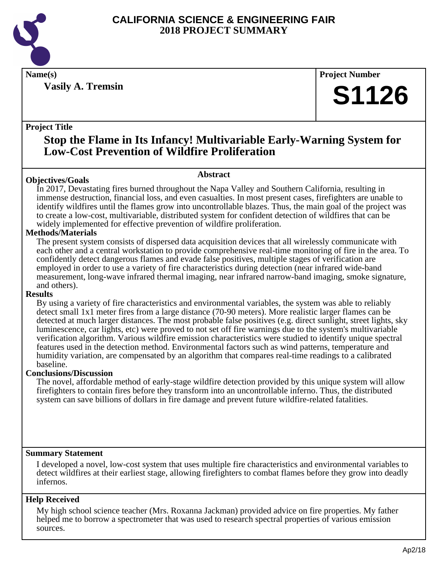

**Vasily A. Tremsin**

**Name(s) Project Number**

# **S1126**

# **Project Title**

# **Stop the Flame in Its Infancy! Multivariable Early-Warning System for Low-Cost Prevention of Wildfire Proliferation**

## **Abstract**

**Objectives/Goals** In 2017, Devastating fires burned throughout the Napa Valley and Southern California, resulting in immense destruction, financial loss, and even casualties. In most present cases, firefighters are unable to identify wildfires until the flames grow into uncontrollable blazes. Thus, the main goal of the project was to create a low-cost, multivariable, distributed system for confident detection of wildfires that can be widely implemented for effective prevention of wildfire proliferation.

# **Methods/Materials**

The present system consists of dispersed data acquisition devices that all wirelessly communicate with each other and a central workstation to provide comprehensive real-time monitoring of fire in the area. To confidently detect dangerous flames and evade false positives, multiple stages of verification are employed in order to use a variety of fire characteristics during detection (near infrared wide-band measurement, long-wave infrared thermal imaging, near infrared narrow-band imaging, smoke signature, and others).

# **Results**

By using a variety of fire characteristics and environmental variables, the system was able to reliably detect small 1x1 meter fires from a large distance (70-90 meters). More realistic larger flames can be detected at much larger distances. The most probable false positives (e.g. direct sunlight, street lights, sky luminescence, car lights, etc) were proved to not set off fire warnings due to the system's multivariable verification algorithm. Various wildfire emission characteristics were studied to identify unique spectral features used in the detection method. Environmental factors such as wind patterns, temperature and humidity variation, are compensated by an algorithm that compares real-time readings to a calibrated baseline.

# **Conclusions/Discussion**

The novel, affordable method of early-stage wildfire detection provided by this unique system will allow firefighters to contain fires before they transform into an uncontrollable inferno. Thus, the distributed system can save billions of dollars in fire damage and prevent future wildfire-related fatalities.

# **Summary Statement**

I developed a novel, low-cost system that uses multiple fire characteristics and environmental variables to detect wildfires at their earliest stage, allowing firefighters to combat flames before they grow into deadly infernos.

# **Help Received**

My high school science teacher (Mrs. Roxanna Jackman) provided advice on fire properties. My father helped me to borrow a spectrometer that was used to research spectral properties of various emission sources.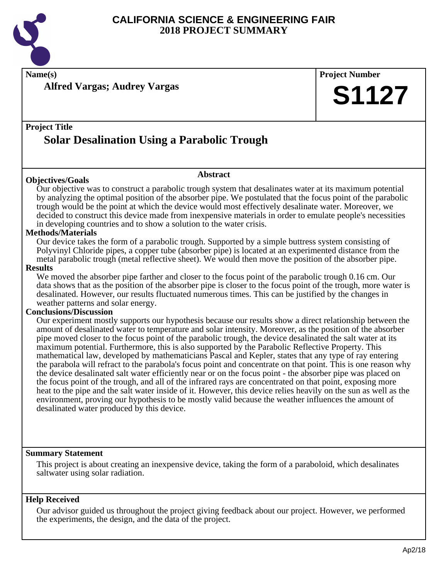

**Name(s) Project Number**

**Alfred Vargas; Audrey Vargas**

# **Project Title Solar Desalination Using a Parabolic Trough**

#### **Abstract**

**Objectives/Goals** Our objective was to construct a parabolic trough system that desalinates water at its maximum potential by analyzing the optimal position of the absorber pipe. We postulated that the focus point of the parabolic trough would be the point at which the device would most effectively desalinate water. Moreover, we decided to construct this device made from inexpensive materials in order to emulate people's necessities in developing countries and to show a solution to the water crisis.

#### **Methods/Materials**

Our device takes the form of a parabolic trough. Supported by a simple buttress system consisting of Polyvinyl Chloride pipes, a copper tube (absorber pipe) is located at an experimented distance from the metal parabolic trough (metal reflective sheet). We would then move the position of the absorber pipe.

#### **Results**

We moved the absorber pipe farther and closer to the focus point of the parabolic trough 0.16 cm. Our data shows that as the position of the absorber pipe is closer to the focus point of the trough, more water is desalinated. However, our results fluctuated numerous times. This can be justified by the changes in weather patterns and solar energy.

## **Conclusions/Discussion**

Our experiment mostly supports our hypothesis because our results show a direct relationship between the amount of desalinated water to temperature and solar intensity. Moreover, as the position of the absorber pipe moved closer to the focus point of the parabolic trough, the device desalinated the salt water at its maximum potential. Furthermore, this is also supported by the Parabolic Reflective Property. This mathematical law, developed by mathematicians Pascal and Kepler, states that any type of ray entering the parabola will refract to the parabola's focus point and concentrate on that point. This is one reason why the device desalinated salt water efficiently near or on the focus point - the absorber pipe was placed on the focus point of the trough, and all of the infrared rays are concentrated on that point, exposing more heat to the pipe and the salt water inside of it. However, this device relies heavily on the sun as well as the environment, proving our hypothesis to be mostly valid because the weather influences the amount of desalinated water produced by this device.

#### **Summary Statement**

This project is about creating an inexpensive device, taking the form of a paraboloid, which desalinates saltwater using solar radiation.

#### **Help Received**

Our advisor guided us throughout the project giving feedback about our project. However, we performed the experiments, the design, and the data of the project.